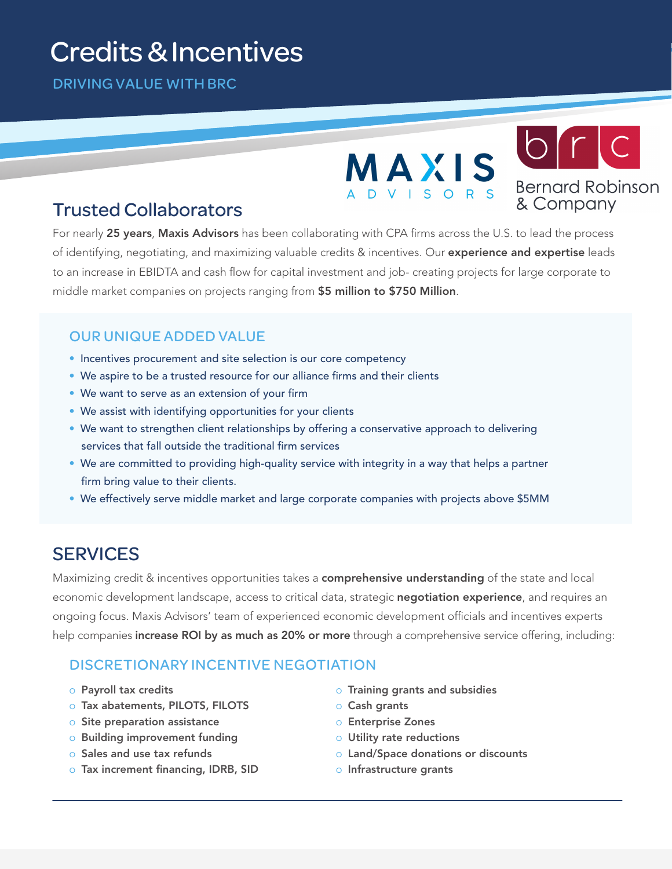# . Credits & Incentives

DRIVING VALUE WITH BRC



## Trusted Collaborators

For nearly 25 years, Maxis Advisors has been collaborating with CPA firms across the U.S. to lead the process of identifying, negotiating, and maximizing valuable credits & incentives. Our experience and expertise leads to an increase in EBIDTA and cash flow for capital investment and job- creating projects for large corporate to middle market companies on projects ranging from \$5 million to \$750 Million.

## OUR UNIQUE ADDED VALUE

- Incentives procurement and site selection is our core competency
- We aspire to be a trusted resource for our alliance firms and their clients
- We want to serve as an extension of your firm
- We assist with identifying opportunities for your clients
- We want to strengthen client relationships by offering a conservative approach to delivering services that fall outside the traditional firm services
- We are committed to providing high-quality service with integrity in a way that helps a partner firm bring value to their clients.
- We effectively serve middle market and large corporate companies with projects above \$5MM

## **SERVICES**

Maximizing credit & incentives opportunities takes a **comprehensive understanding** of the state and local economic development landscape, access to critical data, strategic negotiation experience, and requires an ongoing focus. Maxis Advisors' team of experienced economic development officials and incentives experts help companies increase ROI by as much as 20% or more through a comprehensive service offering, including:

#### DISCRETIONARY INCENTIVE NEGOTIATION

- o Payroll tax credits
- o Tax abatements, PILOTS, FILOTS
- o Site preparation assistance
- o Building improvement funding
- o Sales and use tax refunds
- o Tax increment financing, IDRB, SID
- o Training grants and subsidies
- o Cash grants
- o Enterprise Zones
- o Utility rate reductions
- o Land/Space donations or discounts
- o Infrastructure grants